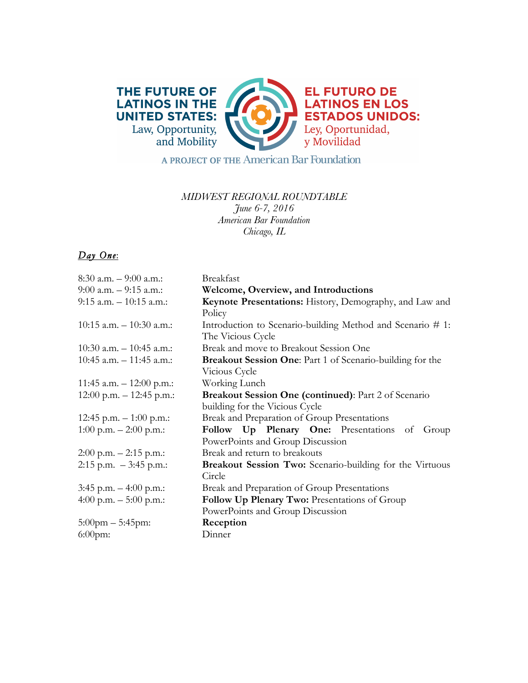

A PROJECT OF THE American Bar Foundation

## *MIDWEST REGIONAL ROUNDTABLE June 6-7, 2016 American Bar Foundation Chicago, IL*

## *Day One*:

| 8:30 a.m. – 9:00 a.m.:      | <b>Breakfast</b>                                                 |
|-----------------------------|------------------------------------------------------------------|
| 9:00 a.m. - 9:15 a.m.:      | Welcome, Overview, and Introductions                             |
| 9:15 a.m. – 10:15 a.m.:     | Keynote Presentations: History, Demography, and Law and          |
|                             | Policy                                                           |
| $10:15$ a.m. $-10:30$ a.m.: | Introduction to Scenario-building Method and Scenario #1:        |
|                             | The Vicious Cycle                                                |
| $10:30$ a.m. $-10:45$ a.m.: | Break and move to Breakout Session One                           |
| $10:45$ a.m. $-11:45$ a.m.: | <b>Breakout Session One:</b> Part 1 of Scenario-building for the |
|                             | Vicious Cycle                                                    |
| 11:45 a.m. – 12:00 p.m.:    | Working Lunch                                                    |
| 12:00 p.m. $- 12:45$ p.m.:  | Breakout Session One (continued): Part 2 of Scenario             |
|                             | building for the Vicious Cycle                                   |
| 12:45 p.m. $-1:00$ p.m.:    | Break and Preparation of Group Presentations                     |
| 1:00 p.m. $- 2:00$ p.m.:    | Follow Up Plenary One: Presentations of<br>Group                 |
|                             | PowerPoints and Group Discussion                                 |
| 2:00 p.m. – 2:15 p.m.:      | Break and return to breakouts                                    |
| 2:15 p.m. $-3:45$ p.m.:     | <b>Breakout Session Two:</b> Scenario-building for the Virtuous  |
|                             | Circle                                                           |
| 3:45 p.m. – 4:00 p.m.:      | Break and Preparation of Group Presentations                     |
| 4:00 p.m. $-$ 5:00 p.m.:    | Follow Up Plenary Two: Presentations of Group                    |
|                             | PowerPoints and Group Discussion                                 |
| $5:00$ pm $-5:45$ pm:       | Reception                                                        |
| $6:00$ pm:                  | Dinner                                                           |
|                             |                                                                  |